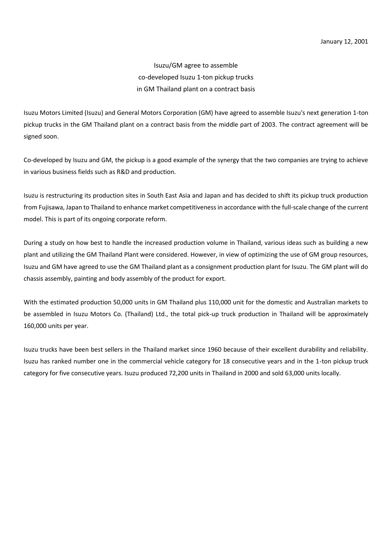Isuzu/GM agree to assemble co-developed Isuzu 1-ton pickup trucks in GM Thailand plant on a contract basis

Isuzu Motors Limited (Isuzu) and General Motors Corporation (GM) have agreed to assemble Isuzu's next generation 1-ton pickup trucks in the GM Thailand plant on a contract basis from the middle part of 2003. The contract agreement will be signed soon.

Co-developed by Isuzu and GM, the pickup is a good example of the synergy that the two companies are trying to achieve in various business fields such as R&D and production.

Isuzu is restructuring its production sites in South East Asia and Japan and has decided to shift its pickup truck production from Fujisawa, Japan to Thailand to enhance market competitiveness in accordance with the full-scale change of the current model. This is part of its ongoing corporate reform.

During a study on how best to handle the increased production volume in Thailand, various ideas such as building a new plant and utilizing the GM Thailand Plant were considered. However, in view of optimizing the use of GM group resources, Isuzu and GM have agreed to use the GM Thailand plant as a consignment production plant for Isuzu. The GM plant will do chassis assembly, painting and body assembly of the product for export.

With the estimated production 50,000 units in GM Thailand plus 110,000 unit for the domestic and Australian markets to be assembled in Isuzu Motors Co. (Thailand) Ltd., the total pick-up truck production in Thailand will be approximately 160,000 units per year.

Isuzu trucks have been best sellers in the Thailand market since 1960 because of their excellent durability and reliability. Isuzu has ranked number one in the commercial vehicle category for 18 consecutive years and in the 1-ton pickup truck category for five consecutive years. Isuzu produced 72,200 units in Thailand in 2000 and sold 63,000 units locally.